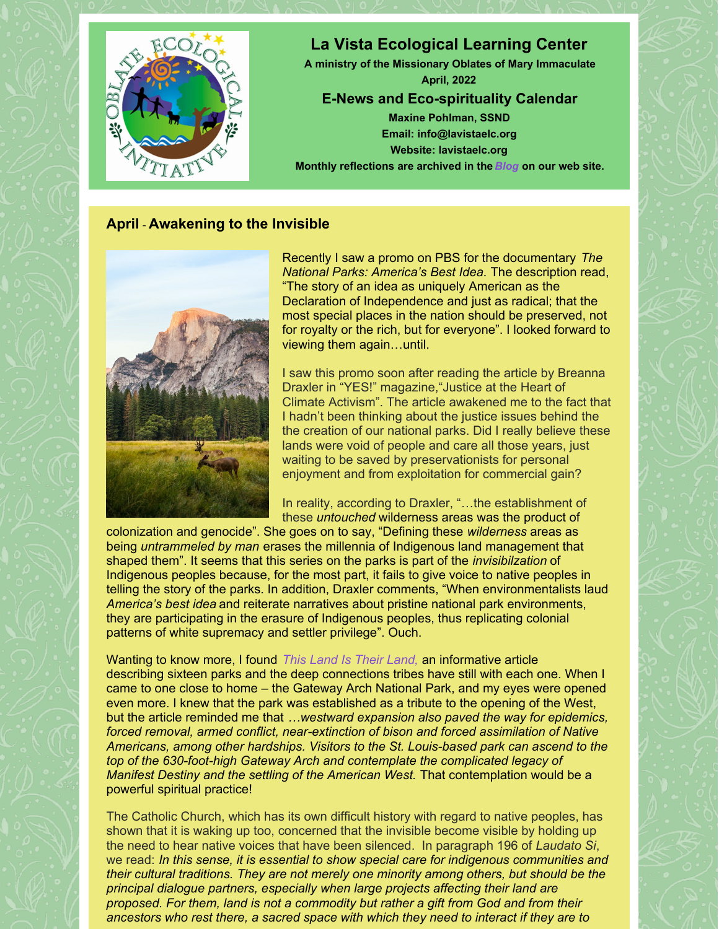

### **April** - **Awakening to the Invisible**



Recently I saw a promo on PBS for the documentary *The National Parks: America's Best Idea.* The description read, "The story of an idea as uniquely American as the Declaration of Independence and just as radical; that the most special places in the nation should be preserved, not for royalty or the rich, but for everyone". I looked forward to viewing them again…until.

I saw this promo soon after reading the article by Breanna Draxler in "YES!" magazine,"Justice at the Heart of Climate Activism". The article awakened me to the fact that I hadn't been thinking about the justice issues behind the the creation of our national parks. Did I really believe these lands were void of people and care all those years, just waiting to be saved by preservationists for personal enjoyment and from exploitation for commercial gain?

In reality, according to Draxler, "…the establishment of these *untouched* wilderness areas was the product of

colonization and genocide". She goes on to say, "Defining these *wilderness* areas as being *untrammeled by man* erases the millennia of Indigenous land management that shaped them". It seems that this series on the parks is part of the *invisibilzation* of Indigenous peoples because, for the most part, it fails to give voice to native peoples in telling the story of the parks. In addition, Draxler comments, "When environmentalists laud *America's best idea* and reiterate narratives about pristine national park environments, they are participating in the erasure of Indigenous peoples, thus replicating colonial patterns of white supremacy and settler privilege". Ouch.

Wanting to know more, I found *This Land Is Their [Land,](https://www.npca.org/articles/2742-this-land-is-their-land)* an informative article describing sixteen parks and the deep connections tribes have still with each one. When I came to one close to home – the Gateway Arch National Park, and my eyes were opened even more. I knew that the park was established as a tribute to the opening of the West, but the article reminded me that *…westward expansion also paved the way for epidemics, forced removal, armed conflict, near-extinction of bison and forced assimilation of Native Americans, among other hardships. Visitors to the St. Louis-based park can ascend to the top of the 630-foot-high Gateway Arch and contemplate the complicated legacy of Manifest Destiny and the settling of the American West.* That contemplation would be a powerful spiritual practice!

The Catholic Church, which has its own difficult history with regard to native peoples, has shown that it is waking up too, concerned that the invisible become visible by holding up the need to hear native voices that have been silenced. In paragraph 196 of *Laudato Si*, we read: *In this sense, it is essential to show special care for indigenous communities and their cultural traditions. They are not merely one minority among others, but should be the principal dialogue partners, especially when large projects affecting their land are proposed. For them, land is not a commodity but rather a gift from God and from their ancestors who rest there, a sacred space with which they need to interact if they are to*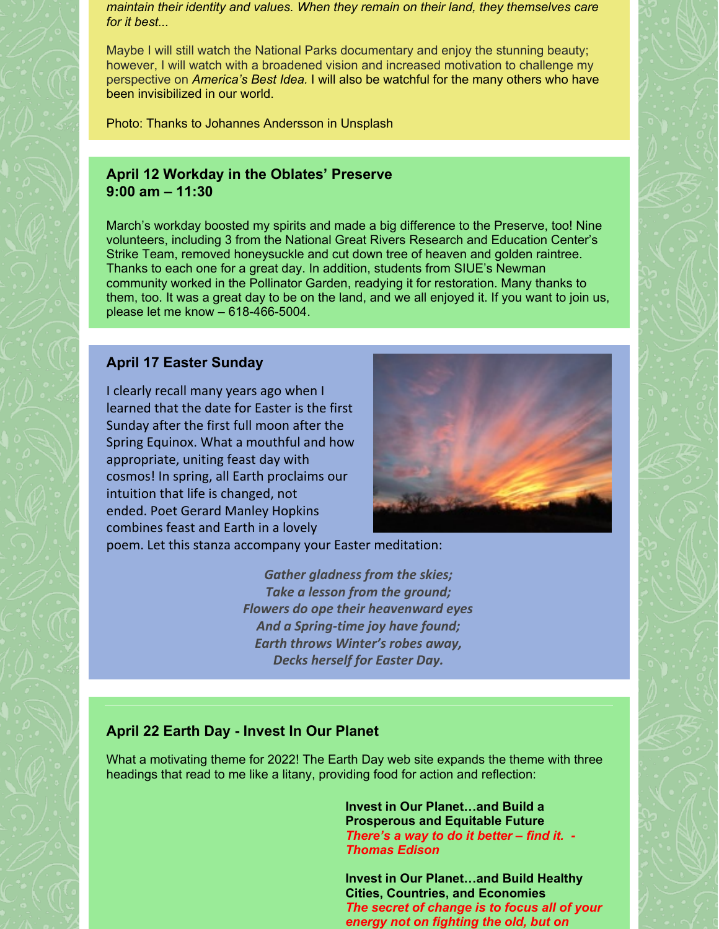*maintain their identity and values. When they remain on their land, they themselves care for it best...*

Maybe I will still watch the National Parks documentary and enjoy the stunning beauty; however, I will watch with a broadened vision and increased motivation to challenge my perspective on *America's Best Idea.* I will also be watchful for the many others who have been invisibilized in our world.

Photo: Thanks to Johannes Andersson in Unsplash

#### **April 12 Workday in the Oblates' Preserve 9:00 am – 11:30**

March's workday boosted my spirits and made a big difference to the Preserve, too! Nine volunteers, including 3 from the National Great Rivers Research and Education Center's Strike Team, removed honeysuckle and cut down tree of heaven and golden raintree. Thanks to each one for a great day. In addition, students from SIUE's Newman community worked in the Pollinator Garden, readying it for restoration. Many thanks to them, too. It was a great day to be on the land, and we all enjoyed it. If you want to join us, please let me know – 618-466-5004.

# **April 17 Easter Sunday**

I clearly recall many years ago when I learned that the date for Easter is the first Sunday after the first full moon after the Spring Equinox. What a mouthful and how appropriate, uniting feast day with cosmos! In spring, all Earth proclaims our intuition that life is changed, not ended. Poet Gerard Manley Hopkins combines feast and Earth in a lovely



poem. Let this stanza accompany your Easter meditation:

*Gather gladness from the skies; Take a lesson from the ground; Flowers do ope their heavenward eyes And a Spring-time joy have found; Earth throws Winter's robes away, Decks herself for Easter Day.*

## **April 22 Earth Day - Invest In Our Planet**

What a motivating theme for 2022! The Earth Day web site expands the theme with three headings that read to me like a litany, providing food for action and reflection:

> **Invest in Our Planet…and Build a Prosperous and Equitable Future** *There's a way to do it better – find it. - Thomas Edison*

**Invest in Our Planet…and Build Healthy Cities, Countries, and Economies** *The secret of change is to focus all of your energy not on fighting the old, but on*